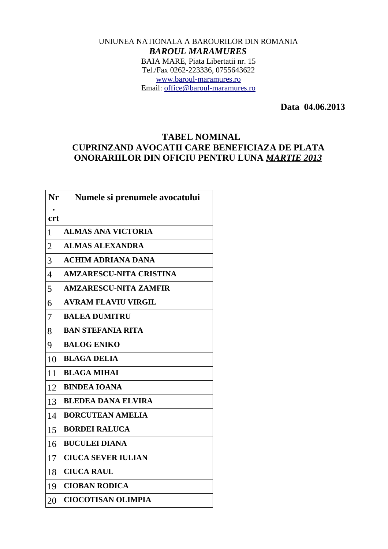## UNIUNEA NATIONALA A BAROURILOR DIN ROMANIA *BAROUL MARAMURES* BAIA MARE, Piata Libertatii nr. 15 Tel./Fax 0262-223336, 0755643622 [www.baroul-maramures.ro](http://www.baroul-maramures.ro/) Email: [office@baroul-maramures.ro](mailto:office@baroul-maramures.ro)

 **Data 04.06.2013**

## **TABEL NOMINAL CUPRINZAND AVOCATII CARE BENEFICIAZA DE PLATA ONORARIILOR DIN OFICIU PENTRU LUNA** *MARTIE 2013*

| Nr             | Numele si prenumele avocatului |
|----------------|--------------------------------|
| <b>crt</b>     |                                |
| $\mathbf{1}$   | <b>ALMAS ANA VICTORIA</b>      |
| $\overline{2}$ | <b>ALMAS ALEXANDRA</b>         |
| 3              | <b>ACHIM ADRIANA DANA</b>      |
| $\overline{4}$ | <b>AMZARESCU-NITA CRISTINA</b> |
| 5              | <b>AMZARESCU-NITA ZAMFIR</b>   |
| 6              | <b>AVRAM FLAVIU VIRGIL</b>     |
| 7              | <b>BALEA DUMITRU</b>           |
| 8              | <b>BAN STEFANIA RITA</b>       |
| 9              | <b>BALOG ENIKO</b>             |
| 10             | <b>BLAGA DELIA</b>             |
| 11             | <b>BLAGA MIHAI</b>             |
| 12             | <b>BINDEA IOANA</b>            |
| 13             | <b>BLEDEA DANA ELVIRA</b>      |
| 14             | <b>BORCUTEAN AMELIA</b>        |
| 15             | <b>BORDEI RALUCA</b>           |
| 16             | <b>BUCULEI DIANA</b>           |
| 17             | <b>CIUCA SEVER IULIAN</b>      |
| 18             | <b>CIUCA RAUL</b>              |
| 19             | <b>CIOBAN RODICA</b>           |
| 20             | <b>CIOCOTISAN OLIMPIA</b>      |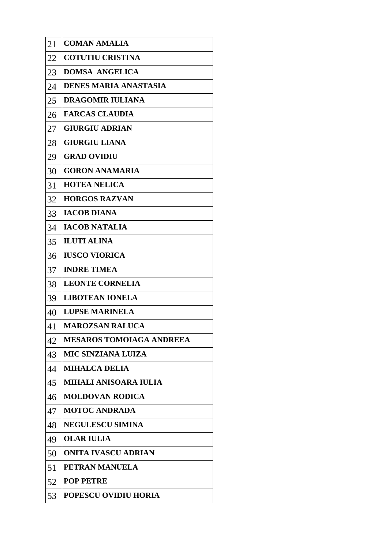| 21 | <b>COMAN AMALIA</b>             |
|----|---------------------------------|
| 22 | <b>COTUTIU CRISTINA</b>         |
| 23 | <b>DOMSA ANGELICA</b>           |
| 24 | <b>DENES MARIA ANASTASIA</b>    |
| 25 | <b>DRAGOMIR IULIANA</b>         |
| 26 | <b>FARCAS CLAUDIA</b>           |
| 27 | <b>GIURGIU ADRIAN</b>           |
| 28 | <b>GIURGIU LIANA</b>            |
| 29 | <b>GRAD OVIDIU</b>              |
| 30 | <b>GORON ANAMARIA</b>           |
| 31 | <b>HOTEA NELICA</b>             |
| 32 | <b>HORGOS RAZVAN</b>            |
| 33 | <b>IACOB DIANA</b>              |
| 34 | <b>IACOB NATALIA</b>            |
| 35 | <b>ILUTI ALINA</b>              |
| 36 | <b>IUSCO VIORICA</b>            |
| 37 | <b>INDRE TIMEA</b>              |
| 38 | <b>LEONTE CORNELIA</b>          |
| 39 | <b>LIBOTEAN IONELA</b>          |
| 40 | <b>LUPSE MARINELA</b>           |
| 41 | <b>MAROZSAN RALUCA</b>          |
| 42 | <b>MESAROS TOMOIAGA ANDREEA</b> |
| 43 | <b>MIC SINZIANA LUIZA</b>       |
| 44 | <b>MIHALCA DELIA</b>            |
| 45 | <b>MIHALI ANISOARA IULIA</b>    |
| 46 | <b>MOLDOVAN RODICA</b>          |
| 47 | <b>MOTOC ANDRADA</b>            |
| 48 | <b>NEGULESCU SIMINA</b>         |
| 49 | <b>OLAR IULIA</b>               |
| 50 | ONITA IVASCU ADRIAN             |
| 51 | PETRAN MANUELA                  |
| 52 | <b>POP PETRE</b>                |
| 53 | <b>POPESCU OVIDIU HORIA</b>     |